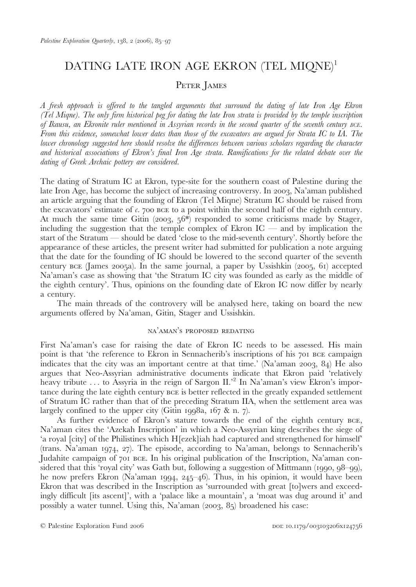# DATING LATE IRON AGE EKRON (TEL MIQNE)<sup>1</sup>

# PETER **JAMES**

*A fresh approach is offered to the tangled arguments that surround the dating of late Iron Age Ekron (Tel Miqne). The only firm historical peg for dating the late Iron strata is provided by the temple inscription of Ikausu, an Ekronite ruler mentioned in Assyrian records in the second quarter of the seventh century BCE*. *From this evidence, somewhat lower dates than those of the excavators are argued for Strata IC to IA. The lower chronology suggested here should resolve the differences between various scholars regarding the character and historical associations of Ekron's final Iron Age strata. Ramifications for the related debate over the dating of Greek Archaic pottery are considered.*

The dating of Stratum IC at Ekron, type-site for the southern coast of Palestine during the late Iron Age, has become the subject of increasing controversy. In 2003, Na'aman published an article arguing that the founding of Ekron (Tel Miqne) Stratum IC should be raised from the excavators' estimate of  $c$ . 700 BCE to a point within the second half of the eighth century. At much the same time Gitin (2003, 56\*) responded to some criticisms made by Stager, including the suggestion that the temple complex of Ekron IC — and by implication the start of the Stratum — should be dated 'close to the mid-seventh century'. Shortly before the appearance of these articles, the present writer had submitted for publication a note arguing that the date for the founding of IC should be lowered to the second quarter of the seventh century  $BCE$  (James 2005a). In the same journal, a paper by Ussishkin (2005, 61) accepted Na'aman's case as showing that 'the Stratum IC city was founded as early as the middle of the eighth century'. Thus, opinions on the founding date of Ekron IC now differ by nearly a century.

The main threads of the controvery will be analysed here, taking on board the new arguments offered by Na'aman, Gitin, Stager and Ussishkin.

### na'aman's proposed redating

First Na'aman's case for raising the date of Ekron IC needs to be assessed. His main point is that 'the reference to Ekron in Sennacherib's inscriptions of his 701 BCE campaign indicates that the city was an important centre at that time.' (Na'aman 2003, 84) He also argues that Neo-Assyrian administrative documents indicate that Ekron paid 'relatively heavy tribute ... to Assyria in the reign of Sargon II.<sup>22</sup> In Na'aman's view Ekron's importance during the late eighth century bce is better reflected in the greatly expanded settlement of Stratum IC rather than that of the preceding Stratum IIA, when the settlement area was largely confined to the upper city (Gitin 1998a, 167 & n. 7).

As further evidence of Ekron's stature towards the end of the eighth century bce, Na'aman cites the 'Azekah Inscription' in which a Neo-Assyrian king describes the siege of 'a royal [city] of the Philistines which H[ezek]iah had captured and strengthened for himself' (trans. Na'aman 1974, 27). The episode, according to Na'aman, belongs to Sennacherib's Judahite campaign of 701 bce. In his original publication of the Inscription, Na'aman considered that this 'royal city' was Gath but, following a suggestion of Mittmann (1990, 98–99), he now prefers Ekron (Na'aman 1994, 245–46). Thus, in his opinion, it would have been Ekron that was described in the Inscription as 'surrounded with great [to]wers and exceedingly difficult [its ascent]', with a 'palace like a mountain', a 'moat was dug around it' and possibly a water tunnel. Using this, Na'aman (2003, 85) broadened his case: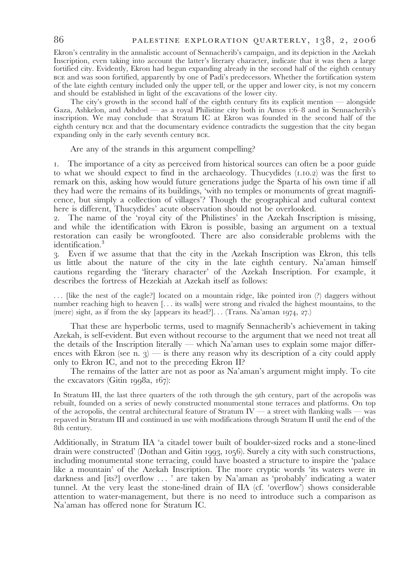Ekron's centrality in the annalistic account of Sennacherib's campaign, and its depiction in the Azekah Inscription, even taking into account the latter's literary character, indicate that it was then a large fortified city. Evidently, Ekron had begun expanding already in the second half of the eighth century bce and was soon fortified, apparently by one of Padi's predecessors. Whether the fortification system of the late eighth century included only the upper tell, or the upper and lower city, is not my concern and should be established in light of the excavations of the lower city.

The city's growth in the second half of the eighth century fits its explicit mention — alongside Gaza, Ashkelon, and Ashdod — as a royal Philistine city both in Amos 1:6–8 and in Sennacherib's inscription. We may conclude that Stratum IC at Ekron was founded in the second half of the eighth century bce and that the documentary evidence contradicts the suggestion that the city began expanding only in the early seventh century bce.

### Are any of the strands in this argument compelling?

1. The importance of a city as perceived from historical sources can often be a poor guide to what we should expect to find in the archaeology. Thucydides (1.10.2) was the first to remark on this, asking how would future generations judge the Sparta of his own time if all they had were the remains of its buildings, 'with no temples or monuments of great magnificence, but simply a collection of villages'? Though the geographical and cultural context here is different, Thucydides' acute observation should not be overlooked.

2. The name of the 'royal city of the Philistines' in the Azekah Inscription is missing, and while the identification with Ekron is possible, basing an argument on a textual restoration can easily be wrongfooted. There are also considerable problems with the identification.<sup>3</sup>

3. Even if we assume that that the city in the Azekah Inscription was Ekron, this tells us little about the nature of the city in the late eighth century. Na'aman himself cautions regarding the 'literary character' of the Azekah Inscription. For example, it describes the fortress of Hezekiah at Azekah itself as follows:

. . . [like the nest of the eagle?] located on a mountain ridge, like pointed iron (?) daggers without number reaching high to heaven [. . . its walls] were strong and rivaled the highest mountains, to the (mere) sight, as if from the sky [appears its head?]. . . (Trans. Na'aman 1974, 27.)

That these are hyperbolic terms, used to magnify Sennacherib's achievement in taking Azekah, is self-evident. But even without recourse to the argument that we need not treat all the details of the Inscription literally — which Na'aman uses to explain some major differences with Ekron (see n. 3) — is there any reason why its description of a city could apply only to Ekron IC, and not to the preceding Ekron II?

The remains of the latter are not as poor as Na'aman's argument might imply. To cite the excavators (Gitin 1998a, 167):

In Stratum III, the last three quarters of the 10th through the 9th century, part of the acropolis was rebuilt, founded on a series of newly constructed monumental stone terraces and platforms. On top of the acropolis, the central architectural feature of Stratum IV — a street with flanking walls — was repaved in Stratum III and continued in use with modifications through Stratum II until the end of the 8th century.

Additionally, in Stratum IIA 'a citadel tower built of boulder-sized rocks and a stone-lined drain were constructed' (Dothan and Gitin 1993, 1056). Surely a city with such constructions, including monumental stone terracing, could have boasted a structure to inspire the 'palace like a mountain' of the Azekah Inscription. The more cryptic words 'its waters were in darkness and [its?] overflow . . . ' are taken by Na'aman as 'probably' indicating a water tunnel. At the very least the stone-lined drain of IIA (cf. 'overflow') shows considerable attention to water-management, but there is no need to introduce such a comparison as Na'aman has offered none for Stratum IC.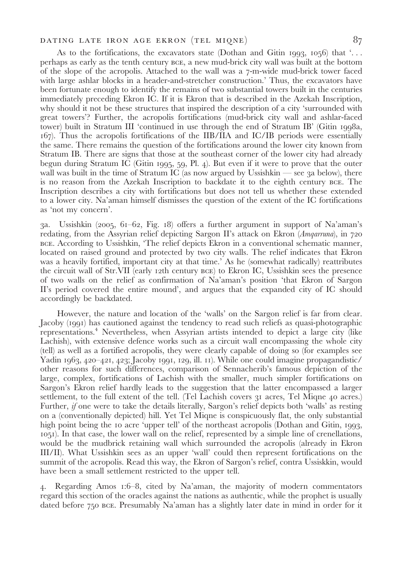As to the fortifications, the excavators state (Dothan and Gitin 1993, 1056) that  $\ldots$ perhaps as early as the tenth century bce, a new mud-brick city wall was built at the bottom of the slope of the acropolis. Attached to the wall was a 7-m-wide mud-brick tower faced with large ashlar blocks in a header-and-stretcher construction.' Thus, the excavators have been fortunate enough to identify the remains of two substantial towers built in the centuries immediately preceding Ekron IC. If it is Ekron that is described in the Azekah Inscription, why should it not be these structures that inspired the description of a city 'surrounded with great towers'? Further, the acropolis fortifications (mud-brick city wall and ashlar-faced tower) built in Stratum III 'continued in use through the end of Stratum IB' (Gitin 1998a, 167). Thus the acropolis fortifications of the IIB/IIA and IC/IB periods were essentially the same. There remains the question of the fortifications around the lower city known from Stratum IB. There are signs that those at the southeast corner of the lower city had already begun during Stratum IC (Gitin 1995, 59, Pl. 4). But even if it were to prove that the outer wall was built in the time of Stratum IC (as now argued by Ussishkin — see 3a below), there is no reason from the Azekah Inscription to backdate it to the eighth century bce. The Inscription describes a city with fortifications but does not tell us whether these extended to a lower city. Na'aman himself dismisses the question of the extent of the IC fortifications as 'not my concern'.

3a. Ussishkin (2005, 61–62, Fig. 18) offers a further argument in support of Na'aman's redating, from the Assyrian relief depicting Sargon II's attack on Ekron (*Amqarruna*), in 720 bce. According to Ussishkin, 'The relief depicts Ekron in a conventional schematic manner, located on raised ground and protected by two city walls. The relief indicates that Ekron was a heavily fortified, important city at that time.' As he (somewhat radically) reattributes the circuit wall of Str.VII (early 12th century bce) to Ekron IC, Ussishkin sees the presence of two walls on the relief as confirmation of Na'aman's position 'that Ekron of Sargon II's period covered the entire mound', and argues that the expanded city of IC should accordingly be backdated.

However, the nature and location of the 'walls' on the Sargon relief is far from clear. Jacoby (1991) has cautioned against the tendency to read such reliefs as quasi-photographic representations.4 Nevertheless, when Assyrian artists intended to depict a large city (like Lachish), with extensive defence works such as a circuit wall encompassing the whole city (tell) as well as a fortified acropolis, they were clearly capable of doing so (for examples see Yadin 1963, 420–421, 423; Jacoby 1991, 129, ill. 11). While one could imagine propagandistic/ other reasons for such differences, comparison of Sennacherib's famous depiction of the large, complex, fortifications of Lachish with the smaller, much simpler fortifications on Sargon's Ekron relief hardly leads to the suggestion that the latter encompassed a larger settlement, to the full extent of the tell. (Tel Lachish covers 31 acres, Tel Miqne 40 acres.) Further, *if* one were to take the details literally, Sargon's relief depicts both 'walls' as resting on a (conventionally depicted) hill. Yet Tel Miqne is conspicuously flat, the only substantial high point being the 10 acre 'upper tell' of the northeast acropolis (Dothan and Gitin, 1993, 1051). In that case, the lower wall on the relief, represented by a simple line of crenellations, would be the mudbrick retaining wall which surrounded the acropolis (already in Ekron III/II). What Ussishkin sees as an upper 'wall' could then represent fortifications on the summit of the acropolis. Read this way, the Ekron of Sargon's relief, contra Ussiskkin, would have been a small settlement restricted to the upper tell.

4. Regarding Amos 1:6–8, cited by Na'aman, the majority of modern commentators regard this section of the oracles against the nations as authentic, while the prophet is usually dated before 750 bce. Presumably Na'aman has a slightly later date in mind in order for it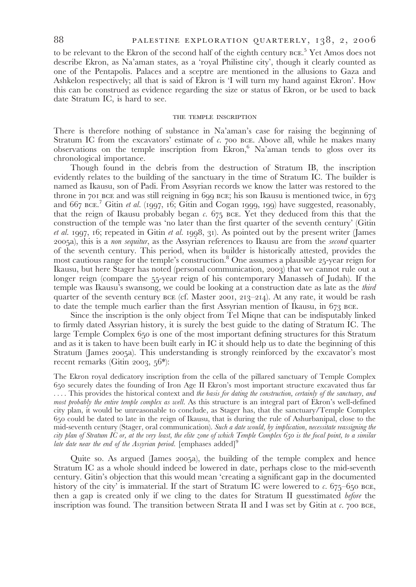to be relevant to the Ekron of the second half of the eighth century BCE.<sup>5</sup> Yet Amos does not describe Ekron, as Na'aman states, as a 'royal Philistine city', though it clearly counted as one of the Pentapolis. Palaces and a sceptre are mentioned in the allusions to Gaza and Ashkelon respectively; all that is said of Ekron is 'I will turn my hand against Ekron'. How this can be construed as evidence regarding the size or status of Ekron, or be used to back date Stratum IC, is hard to see.

#### THE TEMPLE INSCRIPTION

There is therefore nothing of substance in Na'aman's case for raising the beginning of Stratum IC from the excavators' estimate of  $c$ . 700 bce. Above all, while he makes many observations on the temple inscription from  $\dot{E}$ kron,  $\dot{B}$  Na'aman tends to gloss over its chronological importance.

Though found in the debris from the destruction of Stratum IB, the inscription evidently relates to the building of the sanctuary in the time of Stratum IC. The builder is named as Ikausu, son of Padi. From Assyrian records we know the latter was restored to the throne in 701 bce and was still reigning in 699 bce; his son Ikausu is mentioned twice, in 673 and 667 bce.7 Gitin *et al*. (1997, 16; Gitin and Cogan 1999, 199) have suggested, reasonably, that the reign of Ikausu probably began  $c$ .  $675$  BCE. Yet they deduced from this that the construction of the temple was 'no later than the first quarter of the seventh century' (Gitin *et al.* 1997, 16; repeated in Gitin *et al.* 1998, 31). As pointed out by the present writer (James 2005a), this is a *non sequitur*, as the Assyrian references to Ikausu are from the *second* quarter of the seventh century. This period, when its builder is historically attested, provides the most cautious range for the temple's construction.8 One assumes a plausible 25-year reign for Ikausu, but here Stager has noted (personal communication, 2003) that we cannot rule out a longer reign (compare the 55-year reign of his contemporary Manasseh of Judah). If the temple was Ikausu's swansong, we could be looking at a construction date as late as the *third* quarter of the seventh century  $BCE$  (cf. Master 2001, 213–214). At any rate, it would be rash to date the temple much earlier than the first Assyrian mention of Ikausu, in 673 BCE.

Since the inscription is the only object from Tel Miqne that can be indisputably linked to firmly dated Assyrian history, it is surely the best guide to the dating of Stratum IC. The large Temple Complex 650 is one of the most important defining structures for this Stratum and as it is taken to have been built early in IC it should help us to date the beginning of this Stratum (James 2005a). This understanding is strongly reinforced by the excavator's most recent remarks (Gitin 2003, 56\*):

The Ekron royal dedicatory inscription from the cella of the pillared sanctuary of Temple Complex 650 securely dates the founding of Iron Age II Ekron's most important structure excavated thus far . . . . This provides the historical context and *the basis for dating the construction, certainly of the sanctuary, and most probably the entire temple complex as well*. As this structure is an integral part of Ekron's well-defined city plan, it would be unreasonable to conclude, as Stager has, that the sanctuary/Temple Complex 650 could be dated to late in the reign of Ikausu, that is during the rule of Ashurbanipal, close to the mid-seventh century (Stager, oral communication). *Such a date would, by implication, necessitate reassigning the city plan of Stratum IC or, at the very least, the elite zone of which Temple Complex 650 is the focal point, to a similar late date near the end of the Assyrian period.* [emphases added]<sup>9</sup>

Quite so. As argued (James 2005a), the building of the temple complex and hence Stratum IC as a whole should indeed be lowered in date, perhaps close to the mid-seventh century. Gitin's objection that this would mean 'creating a significant gap in the documented history of the city' is immaterial. If the start of Stratum IC were lowered to *c*. 675–650 BCE, then a gap is created only if we cling to the dates for Stratum II guesstimated *before* the inscription was found. The transition between Strata II and I was set by Gitin at  $c$ . 700 BCE,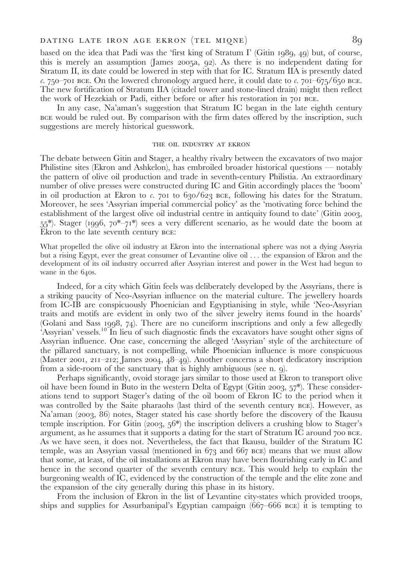based on the idea that Padi was the 'first king of Stratum I' (Gitin 1989, 49) but, of course, this is merely an assumption (James 2005a, 92). As there is no independent dating for Stratum II, its date could be lowered in step with that for IC. Stratum IIA is presently dated  $c.$  750–701 bce. On the lowered chronology argued here, it could date to  $c.$  701–675/650 bce. The new fortification of Stratum IIA (citadel tower and stone-lined drain) might then reflect the work of Hezekiah or Padi, either before or after his restoration in 701 bce.

In any case, Na'aman's suggestion that Stratum IC began in the late eighth century bce would be ruled out. By comparison with the firm dates offered by the inscription, such suggestions are merely historical guesswork.

## THE OIL INDUSTRY AT EKRON

The debate between Gitin and Stager, a healthy rivalry between the excavators of two major Philistine sites (Ekron and Ashkelon), has embroiled broader historical questions — notably the pattern of olive oil production and trade in seventh-century Philistia. An extraordinary number of olive presses were constructed during IC and Gitin accordingly places the 'boom' in oil production at Ekron to *c.* 701 to 630/623 bce, following his dates for the Stratum. Moreover, he sees 'Assyrian imperial commercial policy' as the 'motivating force behind the establishment of the largest olive oil industrial centre in antiquity found to date' (Gitin 2003, 55<sup>\*</sup>). Stager (1996, 70<sup>\*</sup>–71<sup>\*</sup>) sees a very different scenario, as he would date the boom at Ekron to the late seventh century bce:

What propelled the olive oil industry at Ekron into the international sphere was not a dying Assyria but a rising Egypt, ever the great consumer of Levantine olive oil . . . the expansion of Ekron and the development of its oil industry occurred after Assyrian interest and power in the West had begun to wane in the 640s.

Indeed, for a city which Gitin feels was deliberately developed by the Assyrians, there is a striking paucity of Neo-Assyrian influence on the material culture. The jewellery hoards from IC-IB are conspicuously Phoenician and Egyptianising in style, while 'Neo-Assyrian traits and motifs are evident in only two of the silver jewelry items found in the hoards' (Golani and Sass 1998, 74). There are no cuneiform inscriptions and only a few allegedly 'Assyrian' vessels.10 In lieu of such diagnostic finds the excavators have sought other signs of Assyrian influence. One case, concerning the alleged 'Assyrian' style of the architecture of the pillared sanctuary, is not compelling, while Phoenician influence is more conspicuous (Master 2001, 211–212; James 2004, 48–49). Another concerns a short dedicatory inscription from a side-room of the sanctuary that is highly ambiguous (see n. 9).

Perhaps significantly, ovoid storage jars similar to those used at Ekron to transport olive oil have been found in Buto in the western Delta of Egypt (Gitin 2003, 57\*). These considerations tend to support Stager's dating of the oil boom of Ekron IC to the period when it was controlled by the Saite pharaohs (last third of the seventh century bce). However, as Na'aman (2003, 86) notes, Stager stated his case shortly before the discovery of the Ikausu temple inscription. For Gitin (2003, 56\*) the inscription delivers a crushing blow to Stager's argument, as he assumes that it supports a dating for the start of Stratum IC around 700 bce. As we have seen, it does not. Nevertheless, the fact that Ikausu, builder of the Stratum IC temple, was an Assyrian vassal (mentioned in  $673$  and  $667$  bce) means that we must allow that some, at least, of the oil installations at Ekron may have been flourishing early in IC and hence in the second quarter of the seventh century BCE. This would help to explain the burgeoning wealth of IC, evidenced by the construction of the temple and the elite zone and the expansion of the city generally during this phase in its history.

From the inclusion of Ekron in the list of Levantine city-states which provided troops, ships and supplies for Assurbanipal's Egyptian campaign (667–666 bce) it is tempting to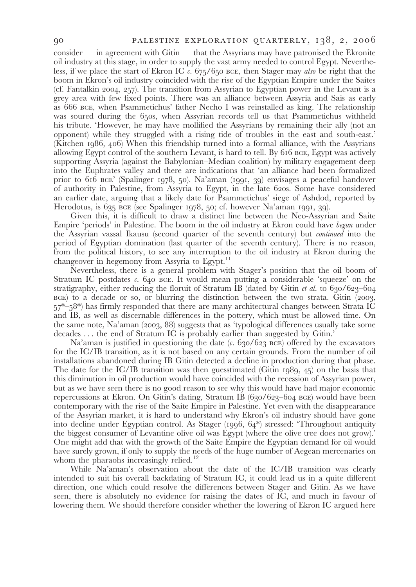consider — in agreement with Gitin — that the Assyrians may have patronised the Ekronite oil industry at this stage, in order to supply the vast army needed to control Egypt. Nevertheless, if we place the start of Ekron IC *c.* 675/650 bce, then Stager may *also* be right that the boom in Ekron's oil industry coincided with the rise of the Egyptian Empire under the Saites (cf. Fantalkin 2004, 257). The transition from Assyrian to Egyptian power in the Levant is a grey area with few fixed points. There was an alliance between Assyria and Sais as early as 666 bce, when Psammetichus' father Necho I was reinstalled as king. The relationship was soured during the 650s, when Assyrian records tell us that Psammetichus withheld his tribute. 'However, he may have mollified the Assyrians by remaining their ally (not an opponent) while they struggled with a rising tide of troubles in the east and south-east.' (Kitchen 1986, 406) When this friendship turned into a formal alliance, with the Assyrians allowing Egypt control of the southern Levant, is hard to tell. By 616 bce, Egypt was actively supporting Assyria (against the Babylonian–Median coalition) by military engagement deep into the Euphrates valley and there are indications that 'an alliance had been formalized prior to 616 bce' (Spalinger 1978, 50). Na'aman (1991, 39) envisages a peaceful handover of authority in Palestine, from Assyria to Egypt, in the late 620s. Some have considered an earlier date, arguing that a likely date for Psammetichus' siege of Ashdod, reported by Herodotus, is 635 BCE (see Spalinger 1978, 50; cf. however Na'aman 1991, 39).

Given this, it is difficult to draw a distinct line between the Neo-Assyrian and Saite Empire 'periods' in Palestine. The boom in the oil industry at Ekron could have *begun* under the Assyrian vassal Ikausu (second quarter of the seventh century) but *continued* into the period of Egyptian domination (last quarter of the seventh century). There is no reason, from the political history, to see any interruption to the oil industry at Ekron during the changeover in hegemony from Assyria to Egypt.<sup>11</sup>

Nevertheless, there is a general problem with Stager's position that the oil boom of Stratum IC postdates *c*. 640 bce. It would mean putting a considerable 'squeeze' on the stratigraphy, either reducing the floruit of Stratum IB (dated by Gitin *et al*. to 630/623–604 bce) to a decade or so, or blurring the distinction between the two strata. Gitin (2003, 57\*–58\*) has firmly responded that there are many architectural changes between Strata IC and IB, as well as discernable differences in the pottery, which must be allowed time. On the same note, Na'aman (2003, 88) suggests that as 'typological differences usually take some decades . . . the end of Stratum IC is probably earlier than suggested by Gitin.'

Na'aman is justified in questioning the date  $(c. 630/623 \text{ }^{\circ}$  because by the excavators for the IC/IB transition, as it is not based on any certain grounds. From the number of oil installations abandoned during IB Gitin detected a decline in production during that phase. The date for the IC/IB transition was then guesstimated (Gitin 1989, 45) on the basis that this diminution in oil production would have coincided with the recession of Assyrian power, but as we have seen there is no good reason to see why this would have had major economic repercussions at Ekron. On Gitin's dating, Stratum IB (630/623–604 bce) would have been contemporary with the rise of the Saite Empire in Palestine. Yet even with the disappearance of the Assyrian market, it is hard to understand why Ekron's oil industry should have gone into decline under Egyptian control. As Stager (1996, 64\*) stressed: 'Throughout antiquity the biggest consumer of Levantine olive oil was Egypt (where the olive tree does not grow).' One might add that with the growth of the Saite Empire the Egyptian demand for oil would have surely grown, if only to supply the needs of the huge number of Aegean mercenaries on whom the pharaohs increasingly relied.<sup>12</sup>

While Na'aman's observation about the date of the IC/IB transition was clearly intended to suit his overall backdating of Stratum IC, it could lead us in a quite different direction, one which could resolve the differences between Stager and Gitin. As we have seen, there is absolutely no evidence for raising the dates of IC, and much in favour of lowering them. We should therefore consider whether the lowering of Ekron IC argued here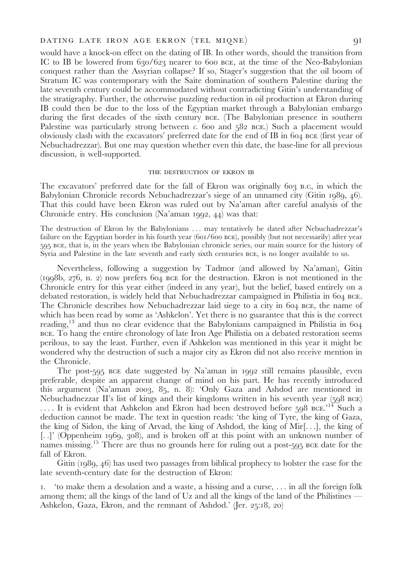would have a knock-on effect on the dating of IB. In other words, should the transition from IC to IB be lowered from 630/623 nearer to 600 bce, at the time of the Neo-Babylonian conquest rather than the Assyrian collapse? If so, Stager's suggestion that the oil boom of Stratum IC was contemporary with the Saite domination of southern Palestine during the late seventh century could be accommodated without contradicting Gitin's understanding of the stratigraphy. Further, the otherwise puzzling reduction in oil production at Ekron during IB could then be due to the loss of the Egyptian market through a Babylonian embargo during the first decades of the sixth century bce. (The Babylonian presence in southern Palestine was particularly strong between *c*. 600 and 582 BCE.) Such a placement would obviously clash with the excavators' preferred date for the end of IB in 604 bce (first year of Nebuchadrezzar). But one may question whether even this date, the base-line for all previous discussion, is well-supported.

#### the destruction of ekron ib

The excavators' preferred date for the fall of Ekron was originally 603 b.c, in which the Babylonian Chronicle records Nebuchadrezzar's siege of an unnamed city (Gitin 1989, 46). That this could have been Ekron was ruled out by Na'aman after careful analysis of the Chronicle entry. His conclusion (Na'aman 1992, 44) was that:

The destruction of Ekron by the Babylonians ... may tentatively be dated after Nebuchadrezzar's failure on the Egyptian border in his fourth year (601/600 bce), possibly (but not necessarily) after year 595 bce, that is, in the years when the Babylonian chronicle series, our main source for the history of Syria and Palestine in the late seventh and early sixth centuries bce, is no longer available to us.

Nevertheless, following a suggestion by Tadmor (and allowed by Na'aman), Gitin (1998b, 276, n. 2) now prefers 604 bce for the destruction. Ekron is not mentioned in the Chronicle entry for this year either (indeed in any year), but the belief, based entirely on a debated restoration, is widely held that Nebuchadrezzar campaigned in Philistia in 604 bce. The Chronicle describes how Nebuchadrezzar laid siege to a city in 604 bce, the name of which has been read by some as 'Ashkelon'. Yet there is no guarantee that this is the correct reading,<sup>13</sup> and thus no clear evidence that the Babylonians campaigned in Philistia in  $604$ bce. To hang the entire chronology of late Iron Age Philistia on a debated restoration seems perilous, to say the least. Further, even if Ashkelon was mentioned in this year it might be wondered why the destruction of such a major city as Ekron did not also receive mention in the Chronicle.

The post-595 bce date suggested by Na'aman in 1992 still remains plausible, even preferable, despite an apparent change of mind on his part. He has recently introduced this argument (Na'aman 2003, 85, n. 8): 'Only Gaza and Ashdod are mentioned in Nebuchadnezzar II's list of kings and their kingdoms written in his seventh year (598 bce) .... It is evident that Ashkelon and Ekron had been destroyed before  $598$  BCE.<sup>14</sup> Such a deduction cannot be made. The text in question reads: 'the king of Tyre, the king of Gaza, the king of Sidon, the king of Arvad, the king of Ashdod, the king of Mir[. . .], the king of [..]' (Oppenheim 1969, 308), and is broken off at this point with an unknown number of names missing.<sup>15</sup> There are thus no grounds here for ruling out a post- $595$  bce date for the fall of Ekron.

Gitin (1989, 46) has used two passages from biblical prophecy to bolster the case for the late seventh-century date for the destruction of Ekron:

1. 'to make them a desolation and a waste, a hissing and a curse, . . . in all the foreign folk among them; all the kings of the land of Uz and all the kings of the land of the Philistines — Ashkelon, Gaza, Ekron, and the remnant of Ashdod.' (Jer. 25:18, 20)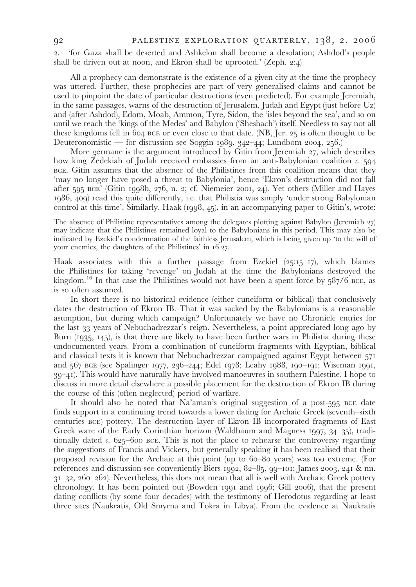92 palestine exploration quarterly, 138, 2, 2006

2. 'for Gaza shall be deserted and Ashkelon shall become a desolation; Ashdod's people shall be driven out at noon, and Ekron shall be uprooted.' (Zeph. 2:4)

All a prophecy can demonstrate is the existence of a given city at the time the prophecy was uttered. Further, these prophecies are part of very generalised claims and cannot be used to pinpoint the date of particular destructions (even predicted). For example Jeremiah, in the same passages, warns of the destruction of Jerusalem, Judah and Egypt (just before Uz) and (after Ashdod), Edom, Moab, Ammon, Tyre, Sidon, the 'isles beyond the sea', and so on until we reach the 'kings of the Medes' and Babylon ('Sheshach') itself. Needless to say not all these kingdoms fell in  $604$  bce or even close to that date. (NB, Jer.  $25$  is often thought to be Deuteronomistic — for discussion see Soggin 1989, 342–44; Lundbom 2004, 256.)

More germane is the argument introduced by Gitin from Jeremiah 27, which describes how king Zedekiah of Judah received embassies from an anti-Babylonian coalition *c.* 594 bce. Gitin assumes that the absence of the Philistines from this coalition means that they 'may no longer have posed a threat to Babylonia', hence 'Ekron's destruction did not fall after 595 bce' (Gitin 1998b, 276, n. 2; cf. Niemeier 2001, 24). Yet others (Miller and Hayes 1986, 409) read this quite differently, i.e. that Philistia was simply 'under strong Babylonian control at this time'. Similarly, Haak (1998, 45), in an accompanying paper to Gitin's, wrote:

The absence of Philistine representatives among the delegates plotting against Babylon (Jeremiah 27) may indicate that the Philistines remained loyal to the Babylonians in this period. This may also be indicated by Ezekiel's condemnation of the faithless Jerusalem, which is being given up 'to the will of your enemies, the daughters of the Philistines' in 16.27.

Haak associates with this a further passage from Ezekiel  $(25:15-17)$ , which blames the Philistines for taking 'revenge' on Judah at the time the Babylonians destroyed the kingdom.<sup>16</sup> In that case the Philistines would not have been a spent force by  $587/6$  BCE, as is so often assumed.

In short there is no historical evidence (either cuneiform or biblical) that conclusively dates the destruction of Ekron IB. That it was sacked by the Babylonians is a reasonable asumption, but during which campaign? Unfortunately we have no Chronicle entries for the last 33 years of Nebuchadrezzar's reign. Nevertheless, a point appreciated long ago by Burn (1935, 145), is that there are likely to have been further wars in Philistia during these undocumented years. From a combination of cuneiform fragments with Egyptian, biblical and classical texts it is known that Nebuchadrezzar campaigned against Egypt between 571 and 567 bce (see Spalinger 1977, 236–244; Edel 1978; Leahy 1988, 190–191; Wiseman 1991, 39–41). This would have naturally have involved manoeuvres in southern Palestine. I hope to discuss in more detail elsewhere a possible placement for the destruction of Ekron IB during the course of this (often neglected) period of warfare.

It should also be noted that Na'aman's original suggestion of a post-595 bce date finds support in a continuing trend towards a lower dating for Archaic Greek (seventh–sixth centuries bce) pottery. The destruction layer of Ekron IB incorporated fragments of East Greek ware of the Early Corinthian horizon (Waldbaum and Magness 1997, 34–35), traditionally dated  $c$ . 625–600 bce. This is not the place to rehearse the controversy regarding the suggestions of Francis and Vickers, but generally speaking it has been realised that their proposed revision for the Archaic at this point (up to 60–80 years) was too extreme. (For references and discussion see conveniently Biers 1992, 82–85, 99–101; James 2003, 241 & nn. 31–32, 260–262). Nevertheless, this does not mean that all is well with Archaic Greek pottery chronology. It has been pointed out (Bowden 1991 and 1996; Gill 2006), that the present dating conflicts (by some four decades) with the testimony of Herodotus regarding at least three sites (Naukratis, Old Smyrna and Tokra in Libya). From the evidence at Naukratis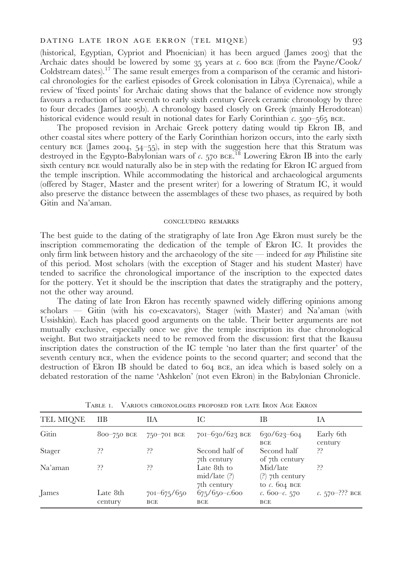(historical, Egyptian, Cypriot and Phoenician) it has been argued (James 2003) that the Archaic dates should be lowered by some 35 years at c. 600 BCE (from the Payne/Cook/ Coldstream dates).<sup>17</sup> The same result emerges from a comparison of the ceramic and historical chronologies for the earliest episodes of Greek colonisation in Libya (Cyrenaica), while a review of 'fixed points' for Archaic dating shows that the balance of evidence now strongly favours a reduction of late seventh to early sixth century Greek ceramic chronology by three to four decades (James 2005b). A chronology based closely on Greek (mainly Herodotean) historical evidence would result in notional dates for Early Corinthian  $c$ , 590–565 bce.

The proposed revision in Archaic Greek pottery dating would tip Ekron IB, and other coastal sites where pottery of the Early Corinthian horizon occurs, into the early sixth century BCE (James 2004,  $54-55$ ), in step with the suggestion here that this Stratum was destroyed in the Egypto-Babylonian wars of *c*. 570 BCE.<sup>18</sup> Lowering Ekron IB into the early sixth century bce would naturally also be in step with the redating for Ekron IC argued from the temple inscription. While accommodating the historical and archaeological arguments (offered by Stager, Master and the present writer) for a lowering of Stratum IC, it would also preserve the distance between the assemblages of these two phases, as required by both Gitin and Na'aman.

### concluding remarks

The best guide to the dating of the stratigraphy of late Iron Age Ekron must surely be the inscription commemorating the dedication of the temple of Ekron IC. It provides the only firm link between history and the archaeology of the site — indeed for *any* Philistine site of this period. Most scholars (with the exception of Stager and his student Master) have tended to sacrifice the chronological importance of the inscription to the expected dates for the pottery. Yet it should be the inscription that dates the stratigraphy and the pottery, not the other way around.

The dating of late Iron Ekron has recently spawned widely differing opinions among scholars — Gitin (with his co-excavators), Stager (with Master) and Na'aman (with Ussishkin). Each has placed good arguments on the table. Their better arguments are not mutually exclusive, especially once we give the temple inscription its due chronological weight. But two straitjackets need to be removed from the discussion: first that the Ikausu inscription dates the construction of the IC temple 'no later than the first quarter' of the seventh century bce, when the evidence points to the second quarter; and second that the destruction of Ekron IB should be dated to 604 bce, an idea which is based solely on a debated restoration of the name 'Ashkelon' (not even Ekron) in the Babylonian Chronicle.

| <b>TEL MIONE</b> | HВ                  | ΠА                            | IС                                           | IΒ                                                       | IА                   |
|------------------|---------------------|-------------------------------|----------------------------------------------|----------------------------------------------------------|----------------------|
| Gitin            |                     | 800-750 BCE 750-701 BCE       | $701 - 630/623$ BCE                          | $630/623 - 604$<br><b>BCE</b>                            | Early 6th<br>century |
| Stager           | Ъ.                  | ċċ                            | Second half of<br>7th century                | Second half<br>of 7th century                            | έċ.                  |
| Na'aman          | Ъò                  | ò.                            | Late 8th to<br>mid/late $(?)$<br>7th century | Mid/late<br>$(?)$ 7th century<br>to $\epsilon$ . 604 BCE | 55                   |
| James            | Late 8th<br>century | $701 - 675/650$<br><b>BCE</b> | $675/650-c.600$<br><b>BCE</b>                | c. 600–c. 570<br><b>BCE</b>                              | c. $570-???$ BCE     |

Table 1. Various chronologies proposed for late Iron Age Ekron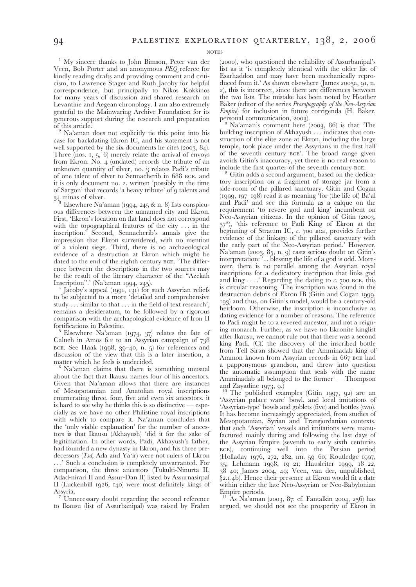#### **NOTES**

1 My sincere thanks to John Bimson, Peter van der Veen, Bob Porter and an anonymous *PEQ* referee for kindly reading drafts and providing comment and criticism, to Lawrence Stager and Ruth Jacoby for helpful correspondence, but principally to Nikos Kokkinos for many years of discussion and shared research on Levantine and Aegean chronology. I am also extremely grateful to the Mainwaring Archive Foundation for its generous support during the research and preparation of this article.

2 Na'aman does not explicitly tie this point into his case for backdating Ekron IC, and his statement is not well supported by the six documents he cites (2003, 84). Three (nos. 1,  $5, 6$ ) merely relate the arrival of envoys from Ekron. No. 4 (undated) records the tribute of an unknown quantity of silver, no. 3 relates Padi's tribute of one talent of silver to Sennacherib in 688 bce, and it is only document no. 2, written 'possibly in the time of Sargon' that records 'a heavy tribute' of 9 talents and 34 minas of silver.

Elsewhere Na'aman (1994, 245 & n. 8) lists conspicuous differences between the unnamed city and Ekron. First, 'Ekron's location on flat land does not correspond with the topographical features of the city . . . in the inscription.' Second, Sennacherib's annals give the impression that Ekron surrendered, with no mention of a violent siege. Third, there is no archaeological evidence of a destruction at Ekron which might be dated to the end of the eighth century bce. 'The difference between the descriptions in the two sources may be the result of the literary character of the "Azekah Inscription".' (Na'aman 1994, 245).

Jacoby's appeal (1991, 131) for such Assyrian reliefs to be subjected to a more 'detailed and comprehensive study . . . similar to that . . . in the field of text research', remains a desideratum, to be followed by a rigorous comparison with the archaeological evidence of Iron II fortifications in Palestine.

5 Elsewhere Na'aman (1974, 37) relates the fate of Calneh in Amos 6.2 to an Assyrian campaign of 738 bce. See Haak (1998, 39–40, n. 5) for references and discussion of the view that this is a later insertion, a matter which he feels is undecided.

6 Na'aman claims that there is something unusual about the fact that Ikausu names four of his ancestors. Given that Na'aman allows that there are instances of Mesopotamian and Anatolian royal inscriptions enumerating three, four, five and even six ancestors, it is hard to see why he thinks this is so distinctive — especially as we have no other Philistine royal inscriptions with which to compare it. Na'aman concludes that the 'only viable explanation' for the number of ancestors is that Ikausu (Akhayush) 'did it for the sake of legitimation. In other words, Padi, Akhayush's father, had founded a new dynasty in Ekron, and his three predecessors (*Ysd*, Ada and Ya'ir) were not rulers of Ekron . . .' Such a conclusion is completely unwarranted. For comparison, the three ancestors (Tukulti-Ninurta II, Adad-nirari II and Assur-Dan II) listed by Assurnasirpal II (Luckenbill 1926, 140) were most definitely kings of Assyria.

Unnecessary doubt regarding the second reference to Ikausu (list of Assurbanipal) was raised by Frahm

(2000), who questioned the reliability of Assurbanipal's list as it 'is completely identical with the older list of Esarhaddon and may have been mechanically reproduced from it.' As shown elsewhere (James 2005a, 91, n. 2), this is incorrect, since there are differences between the two lists. The mistake has been noted by Heather Baker (editor of the series *Prosopography of the Neo-Assyrian Empire*) for inclusion in future corrigenda (H. Baker, personal communication, 2003).

<sup>8</sup> Na'aman's comment here (2003, 86) is that 'The building inscription of Akhayush . . . indicates that construction of the elite zone at Ekron, including the large temple, took place under the Assyrians in the first half of the seventh century bce'. The broad range given avoids Gitin's inaccuracy, yet there is no real reason to include the first quarter of the seventh century bce.

9 Gitin adds a second argument, based on the dedicatory inscription on a fragment of storage jar from a side-room of the pillared sanctuary. Gitin and Cogan (1999, 197–198) read it as meaning 'for (the life of) Ba'al and Padi' and see this formula as a calque on the requirement 'to revere god and king' incumbent on Neo-Assyrian citizens. In the opinion of Gitin (2003, 57\*), 'this reference to Padi King of Ekron at the beginning of Stratum IC, *c*. 700 bce, provides further evidence of the linkage of the pillared sanctuary with the early part of the Neo-Assyrian period.' However, Na'aman (2003, 85, n. 9) casts serious doubt on Gitin's interpretation: '... blessing the life of a god is odd. Moreover, there is no parallel among the Assyrian royal inscriptions for a dedicatory inscription that links god and  $\lim_{n \to \infty}$  Regarding the dating to  $c$ . 700 bce, this is circular reasoning. The inscription was found in the destruction debris of Ekron IB (Gitin and Cogan 1999, 193) and thus, on Gitin's model, would be a century-old heirloom. Otherwise, the inscription is inconclusive as dating evidence for a number of reasons. The reference to Padi might be to a revered ancestor, and not a reigning monarch. Further, as we have no Ekronite kinglist after Ikausu, we cannot rule out that there was a second king Padi. (Cf. the discovery of the inscribed bottle from Tell Siran showed that the Amminadab king of Ammon known from Assyrian records in 667 BCE had a papponymous grandson, and threw into question the automatic assumption that seals with the name Amminadab all belonged to the former — Thompson and Zayadine 1973, 9.)

10 The published examples (Gitin 1997, 92) are an 'Assyrian palace ware' bowl, and local imitations of 'Assyrian-type' bowls and goblets (five) and bottles (two). It has become increasingly appreciated, from studies of Mesopotamian, Syrian and Transjordanian contexts, that such 'Assyrian' vessels and imitations were manufactured mainly during and following the last days of the Assyrian Empire (seventh to early sixth centuries bce), continuing well into the Persian period (Holladay 1976, 272, 282, nn. 59–60; Routledge 1997, 35; Lehmann 1998, 19–21; Hausleiter 1999, 18–22, 38–40; James 2004, 49; Veen, van der, unpublished, §2.1.4b). Hence their presence at Ekron would fit a date within either the late Neo-Assyrian or Neo-Babylonian Empire periods.

 $11$  As Na'aman (2003, 87; cf. Fantalkin 2004, 256) has argued, we should not see the prosperity of Ekron in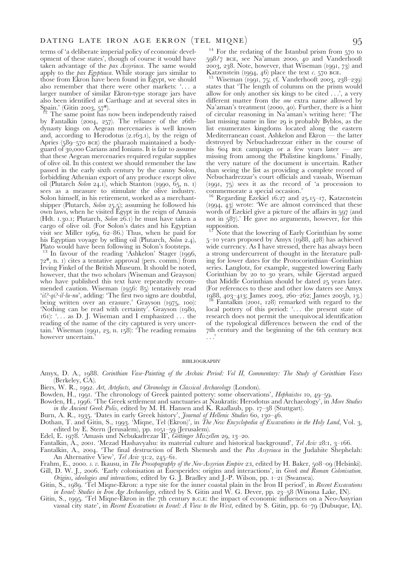terms of 'a deliberate imperial policy of economic development of these states', though of course it would have taken advantage of the *pax Assyriaca*. The same would apply to the *pax Egyptiaca*. While storage jars similar to those from Ekron have been found in Egypt, we should also remember that there were other markets: '... a larger number of similar Ekron-type storage jars have also been identified at Carthage and at several sites in Spain.' (Gitin 2003, 57\*).

The same point has now been independently raised by Fantalkin (2004, 257). The reliance of the 26thdynasty kings on Aegean mercenaries is well known and, according to Herodotus (2.163.1), by the reign of Apries (589–570 bce) the pharaoh maintained a bodyguard of 30,000 Carians and Ionians. It is fair to assume that these Aegean mercenaries required regular supplies of olive oil. In this context we should remember the law passed in the early sixth century by the canny Solon, forbidding Athenian export of any produce except olive oil (Plutarch *Solon* 24.1), which Stanton (1990, 65, n. 1) sees as a measure to stimulate the olive industry. Solon himself, in his retirement, worked as a merchantshipper (Plutarch, *Solon* 25.5); assuming he followed his own laws, when he visited Egypt in the reign of Amasis (Hdt. 1.30.1; Plutarch, *Solon* 26.1) he must have taken a cargo of olive oil. (For Solon's dates and his Egyptian visit see Miller 1969, 62–86.) Thus, when he paid for his Egyptian voyage by selling oil (Plutarch, *Solon* 2.4), Plato would have been following in Solon's footsteps.

<sup>13</sup> In favour of the reading 'Ashkelon' Stager (1996, 72\*, n. 1) cites a tentative approval (pers. comm.) from Irving Finkel of the British Museum. It should be noted, however, that the two scholars (Wiseman and Grayson) who have published this text have repeatedly recommended caution. Wiseman (1956: 85) tentatively read '*iš?-qi?-il-lu-nu*', adding: 'The first two signs are doubtful, being written over an erasure.' Grayson (1975, 100): 'Nothing can be read with certainty'. Grayson (1980, 161): '. . . as D. J. Wiseman and I emphasized . . . the reading of the name of the city captured is very uncertain.' Wiseman (1991, 23, n. 158): 'The reading remains however uncertain.'

 $14$  For the redating of the Istanbul prism from 570 to 598/7 bce, see Na'aman 2000, 40 and Vanderhooft 2003, 238. Note, however, that Wiseman (1991, 73) and

Katzenstein (1994, 46) place the text  $c$ . 570 bce. <sup>15</sup> Wiseman (1991, 75; cf. Vanderhooft 2003, 238–239) states that 'The length of columns on the prism would allow for only another six kings to be cited  $\dots$ , a very different matter from the *one* extra name allowed by Na'aman's treatment (2000, 40). Further, there is a hint of circular reasoning in Na'aman's writing here: 'The last missing name in line 29 is probably Byblos, as the list enumerates kingdoms located along the eastern Mediterranean coast. Ashkelon and Ekron — the latter destroyed by Nebuchadrezzar either in the course of his 604 bce campaign or a few years later — are missing from among the Philistine kingdoms.' Finally, the very nature of the document is uncertain. Rather than seeing the list as providing a complete record of Nebuchadrezzar's court officials and vassals, Wiseman (1991, 75) sees it as the record of 'a procession to commemorate a special occasion.'

<sup>16</sup> Regarding Ezekiel 16.27 and 25.15-17, Katzenstein (1994, 43) wrote: 'We are almost convinced that these words of Ezekiel give a picture of the affairs in 597 (and not in 587).' He gave no arguments, however, for this supposition.

<sup>17</sup> Note that the lowering of Early Corinthian by some 5–10 years proposed by Amyx (1988, 428) has achieved wide currency. As I have stressed, there has always been a strong undercurrent of thought in the literature pulling for lower dates for the Protocorinthian–Corinthian series. Langlotz, for example, suggested lowering Early Corinthian by 20 to 30 years, while Gjerstad argued that Middle Corinthian should be dated 25 years later. (For references to these and other low daters see Amyx 1988, 403–413; James 2003, 260–262; James 2005b, 13.) Fantalkin (2001, 128) remarked with regard to the local pottery of this period: '... the present state of research does not permit the unequivocal identification of the typological differences between the end of the 7th century and the beginning of the 6th century bce . . .'

#### bibliography

- Amyx, D. A., 1988. *Corinthian Vase-Painting of the Archaic Period: Vol II, Commentary: The Study of Corinthian Vases* (Berkeley, CA).
- Biers, W. R., 1992. *Art, Artefacts, and Chronology in Classical Archaeology* (London).
- Bowden, H., 1991. 'The chronology of Greek painted pottery: some observations', *Hephaistos* 10, 49–59.
- Bowden, H., 1996. 'The Greek settlement and sanctuaries at Naukratis: Herodotus and Archaeology', in *More Studies in the Ancient Greek Polis*, edited by M. H. Hansen and K. Raaflaub, pp. 17–38 (Stuttgart).
- Burn, A. R., 1935. 'Dates in early Greek history', *Journal of Hellenic Studies* 60, 130–46.
- Dothan, T. and Gitin, S., 1993. 'Miqne, Tel (Ekron)', in *The New Encyclopedia of Excavations in the Holy Land*, Vol. 3, edited by E. Stern (Jerusalem), pp. 1051–59 (Jerusalem).
- Edel, E. 1978. 'Amasis und Nebukadrezar II', *Göttinger Miszellen* 29, 13–20.
- Fantalkin, A., 2001. 'Mezad Hashavyahu: its material culture and historical background', *Tel Aviv* 28:1, 3–166.
- Fantalkin, A., 2004. 'The final destruction of Beth Shemesh and the *Pax Assyriaca* in the Judahite Shephelah: An Alternative View', *Tel Aviv* 31:2, 245–61.
- Frahm, E., 2000. *s. v.* Ikausu, in *The Prosopography of the Neo-Assyrian Empire* 2:i, edited by H. Baker, 508–09 (Helsinki). Gill, D. W. J., 2006. 'Early colonisation at Euesperides: origins and interactions', in *Greek and Roman Colonisation. Origins, ideologies and interactions*, edited by G. J. Bradley and J.-P. Wilson, pp. 1–21 (Swansea).
- Gitin, S., 1989. 'Tel Miqne-Ekron: a type site for the inner coastal plain in the Iron II period', in *Recent Excavations in Israel: Studies in Iron Age Archaeology*, edited by S. Gitin and W. G. Dever, pp. 23–58 (Winona Lake, IN).
- Gitin, S., 1995. 'Tel Miqne-Ekron in the 7th century B.C.E: the impact of economic influences on a Neo-Assyrian vassal city state', in *Recent Excavations in Israel: A View to the West*, edited by S. Gitin, pp. 61–79 (Dubuque, IA).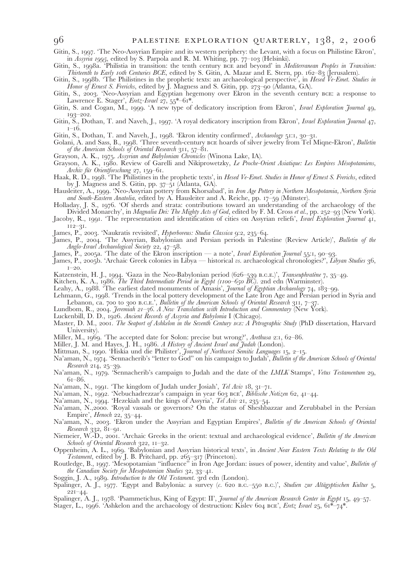- Gitin, S., 1997. 'The Neo-Assyrian Empire and its western periphery: the Levant, with a focus on Philistine Ekron', in *Assyria 1995*, edited by S. Parpola and R. M. Whiting, pp. 77–103 (Helsinki). Gitin, S., 1998a. 'Philistia in transition: the tenth century bce and beyond' in *Mediterranean Peoples in Transition:*
- *Thirteenth to Early 10th Centuries BCE*, edited by S. Gitin, A. Mazar and E. Stern, pp. 162–83 (Jerusalem).
- Gitin, S., 1998b. 'The Philistines in the prophetic texts: an archaeological perspective', in *Hesed Ve-Emet. Studies in Honor of Ernest S. Frerichs*, edited by J. Magness and S. Gitin, pp. 273–90 (Atlanta, GA).
- Gitin, S., 2003. 'Neo-Assyrian and Egyptian hegemony over Ekron in the seventh century bce: a response to Lawrence E. Stager', *Eretz-Israel* 27, 55\*–61\*.
- Gitin, S. and Cogan, M., 1999. 'A new type of dedicatory inscription from Ekron', *Israel Exploration Journal* 49, 193–202.
- Gitin, S., Dothan, T. and Naveh, J., 1997. 'A royal dedicatory inscription from Ekron', *Israel Exploration Journal* 47, 1–16.
- Gitin, S., Dothan, T. and Naveh, J., 1998. 'Ekron identity confirmed', *Archaeology* 51:1, 30–31.
- Golani, A. and Sass, B., 1998. 'Three seventh-century bce hoards of silver jewelry from Tel Miqne-Ekron', *Bulletin of the American Schools of Oriental Research* 311, 57–81.
- Grayson, A. K., 1975. *Assyrian and Babylonian Chronicles* (Winona Lake, IA).
- Grayson, A. K., 1980. Review of Garelli and Nikiprowetzky, *Le Proche-Orient Asiatique: Les Empires Mésopotamiens*, *Archiv für Orientforschung* 27, 159–61.
- Haak, R. D., 1998. 'The Philistines in the prophetic texts', in *Hesed Ve-Emet. Studies in Honor of Ernest S. Frerichs*, edited by J. Magness and S. Gitin, pp. 37–51 (Atlanta, GA).
- Hausleiter, A., 1999. 'Neo-Assyrian pottery from Khorsabad', in *Iron Age Pottery in Northern Mesopotamia, Northern Syria and South-Eastern Anatolia*, edited by A. Hausleiter and A. Reiche, pp. 17–59 (Münster).
- Holladay, J. S., 1976. 'Of sherds and strata: contributions toward an understanding of the archaeology of the Divided Monarchy', in *Magnalia Dei: The Mighty Acts of God*, edited by F. M. Cross *et al.*, pp. 252–93 (New York).
- Jacoby, R., 1991. 'The representation and identification of cities on Assyrian reliefs', *Israel Exploration Journal* 41, 112–31.
- James, P., 2003. 'Naukratis revisited', *Hyperboreus: Studia Classica* 9:2, 235–64.
- James, P., 2004. 'The Assyrian, Babylonian and Persian periods in Palestine (Review Article)', *Bulletin of the Anglo-Israel Archaeological Society* 22, 47–58.

- James, P., 2005a. 'The date of the Ekron inscription a note', *Israel Exploration Journal* 55:1, 90–93.<br>James, P., 2005b. 'Archaic Greek colonies in Libya historical *vs.* archaeological chronologies?', *Libyan Studies* James, P., 2005b. 'Archaic Greek colonies in Libya — historical vs. archaeological chronologies?', *Libyan Studies* 36,<br>
1–20.<br>
Katzenstein, H. J., 1994. 'Gaza in the Neo-Babylonian period (626–539 B.c.c.)', *Transeuphratè*
- 

Kitchen, K. A., 1986. *The Third Intermediate Period in Egypt (1100–650 BC)*. 2nd edn (Warminster).

Leahy, A., 1988. 'The earliest dated monuments of Amasis', *Journal of Egyptian Archaeology* 74, 183–99.

- Lehmann, G., 1998. 'Trends in the local pottery development of the Late Iron Age and Persian period in Syria and Lebanon, ca. 700 to 300 B.C.E.', *Bulletin of the American Schools of Oriental Research* 311, 7-3
- Lundbom, R., 2004. *Jeremiah 21–36. A New Translation with Introduction and Commentary* (New York).
- Luckenbill, D. D., 1926. *Ancient Records of Assyria and Babylonia* I (Chicago).
- Master, D. M., 2001. *The Seaport of Ashkelon in the Seventh Century BCE: A Petrographic Study* (PhD dissertation, Harvard University).
- Miller, M., 1969. 'The accepted date for Solon: precise but wrong?', *Arethusa* 2:1, 62–86.
- Miller, J. M. and Hayes, J. H., 1986. *A History of Ancient Israel and Judah* (London).
- Mittman, S., 1990. 'Hiskia und die Philister', *Journal of Northwest Semitic Languages* 15, 2–15.
- Na'aman, N., 1974. 'Sennacherib's "letter to God" on his campaign to Judah', *Bulletin of the American Schools of Oriental Research* 214, 25–39.
- Na'aman, N., 1979. 'Sennacherib's campaign to Judah and the date of the *LMLK* Stamps', *Vetus Testamentum* 29, 61–86.
- Na'aman, N., 1991. 'The kingdom of Judah under Josiah', *Tel Aviv* 18, 31–71.
- Na'aman, N., 1992. 'Nebuchadrezzar's campaign in year 603 bce', *Biblische Notizen* 62, 41–44.
- Na'aman, N., 1994. 'Hezekiah and the kings of Assyria', *Tel Aviv* 21, 235–54.
- Na'aman, N.,2000. 'Royal vassals or governors? On the status of Sheshbazzar and Zerubbabel in the Persian Empire', *Henoch* 22, 35–44.
- Na'aman, N., 2003. 'Ekron under the Assyrian and Egyptian Empires', *Bulletin of the American Schools of Oriental Research* 332, 81–91.
- Niemeier, W.-D., 2001. 'Archaic Greeks in the orient: textual and archaeological evidence', *Bulletin of the American Schools of Oriental Research* 322, 11–32.
- Oppenheim, A. L., 1969. 'Babylonian and Assyrian historical texts', in *Ancient Near Eastern Texts Relating to the Old Testament*, edited by J. B. Pritchard, pp. 265–317 (Princeton).
- Routledge, B., 1997. 'Mesopotamian "influence" in Iron Age Jordan: issues of power, identity and value', *Bulletin of the Canadian Society for Mesopotamian Studies* 32, 33–41.
- Soggin, J. A., 1989. *Introduction to the Old Testament*. 3rd edn (London).
- Spalinger, A. J., 1977. 'Egypt and Babylonia: a survey (*c.* 620 b.c.–550 b.c.)', *Studien zur Altägyptischen Kultur* 5, 221–44.
- Spalinger, A. J., 1978. 'Psammetichus, King of Egypt: II', *Journal of the American Research Center in Egypt* 15, 49–57.

Stager, L., 1996. 'Ashkelon and the archaeology of destruction: Kislev 604 bce', *Eretz Israel* 25, 61\*–74\*.